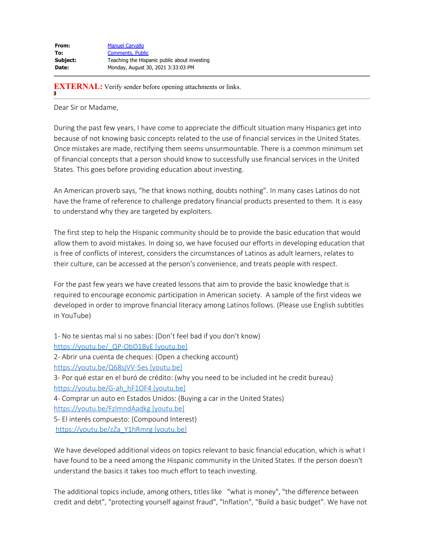**EXTERNAL:** Verify sender before opening attachments or links.

Dear Sir or Madame,

During the past few years, I have come to appreciate the difficult situation many Hispanics get into because of not knowing basic concepts related to the use of financial services in the United States. Once mistakes are made, rectifying them seems unsurmountable. There is a common minimum set of financial concepts that a person should know to successfully use financial services in the United States. This goes before providing education about investing.

An American proverb says, "he that knows nothing, doubts nothing". In many cases Latinos do not have the frame of reference to challenge predatory financial products presented to them. It is easy to understand why they are targeted by exploiters.

The first step to help the Hispanic community should be to provide the basic education that would allow them to avoid mistakes. In doing so, we have focused our efforts in developing education that is free of conflicts of interest, considers the circumstances of Latinos as adult learners, relates to their culture, can be accessed at the person's convenience, and treats people with respect.

For the past few years we have created lessons that aim to provide the basic knowledge that is required to encourage economic participation in American society. A sample of the first videos we developed in order to improve financial literacy among Latinos follows. (Please use English subtitles in YouTube)

1- No te sientas mal si no sabes: (Don't feel bad if you don't know) https://youtu.be/ QP-ObO1ByE [youtu.be] 2- Abrir una cuenta de cheques: (Open a checking account) [https://youtu.be/Q68sjVV-5es \[youtu.be\]](https://urldefense.com/v3/__https://youtu.be/Q68sjVV-5es__;!!MQQ7itY!ce1cHMkjsHZrbdQ396-Gc21gQKFdf1lDsRMYiKrW3yJrkQ6lC1rqzJta23t5IA$) 3- Por qué estar en el buró de crédito: (why you need to be included int he credit bureau) [https://youtu.be/G-ah\\_hF1OF4 \[youtu.be\]](https://urldefense.com/v3/__https://youtu.be/G-ah_hF1OF4__;!!MQQ7itY!ce1cHMkjsHZrbdQ396-Gc21gQKFdf1lDsRMYiKrW3yJrkQ6lC1rqzJuvkq03jg$) 4- Comprar un auto en Estados Unidos: (Buying a car in the United States) [https://youtu.be/FzImndAadkg \[youtu.be\]](https://urldefense.com/v3/__https://youtu.be/FzImndAadkg__;!!MQQ7itY!ce1cHMkjsHZrbdQ396-Gc21gQKFdf1lDsRMYiKrW3yJrkQ6lC1rqzJtcTDfF_g$) 5- El interés compuesto: (Compound Interest) [https://youtu.be/zZa\\_Y1hRmrg \[youtu.be\]](https://urldefense.com/v3/__https://youtu.be/zZa_Y1hRmrg__;!!MQQ7itY!ce1cHMkjsHZrbdQ396-Gc21gQKFdf1lDsRMYiKrW3yJrkQ6lC1rqzJu24JAsPw$)

We have developed additional videos on topics relevant to basic financial education, which is what I have found to be a need among the Hispanic community in the United States. If the person doesn't understand the basics it takes too much effort to teach investing.

The additional topics include, among others, titles like "what is money", "the difference between credit and debt", "protecting yourself against fraud", "Inflation", "Build a basic budget". We have not